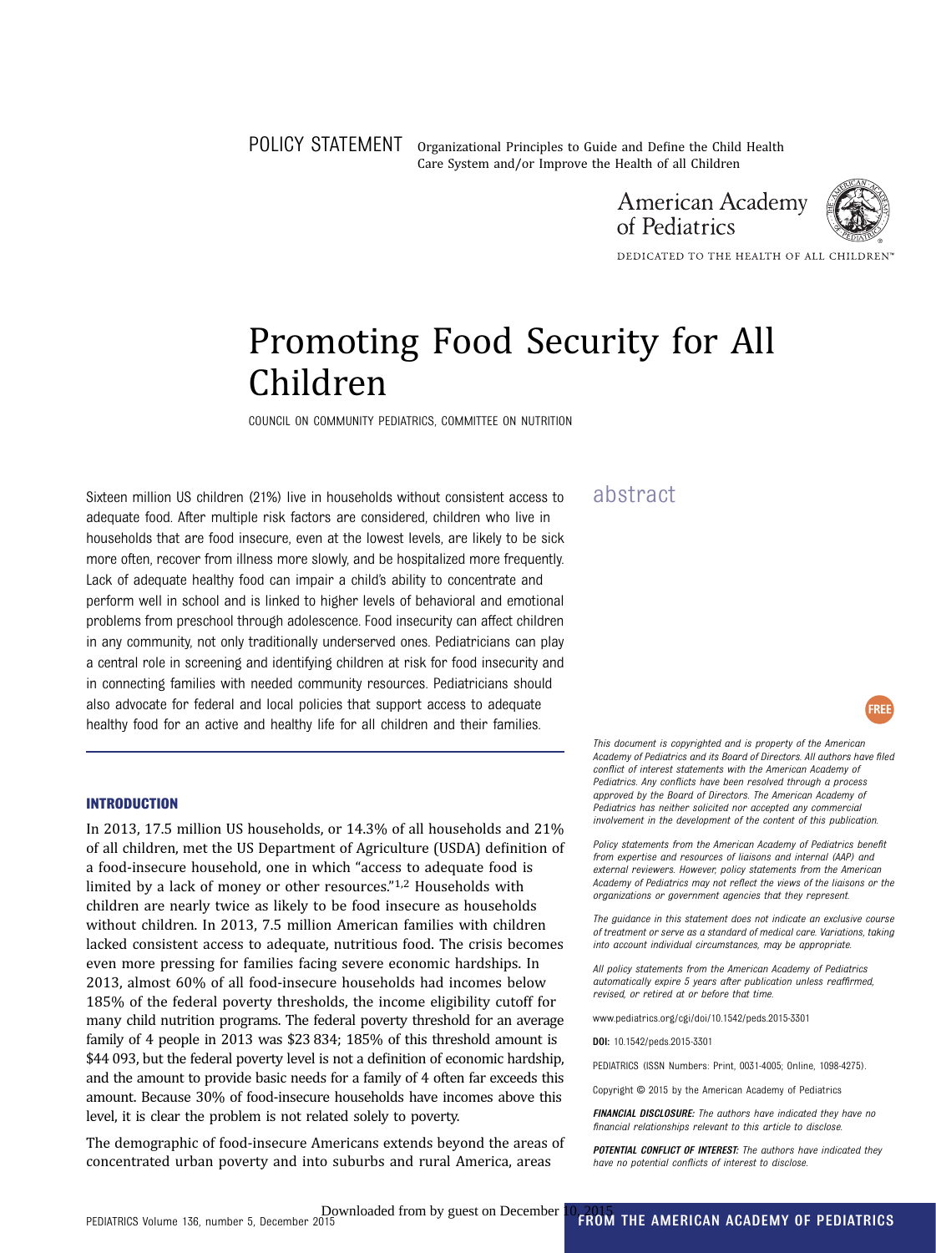POLICY STATEMENT Organizational Principles to Guide and Define the Child Health Care System and/or Improve the Health of all Children





FREE

DEDICATED TO THE HEALTH OF ALL CHILDREN

## Promoting Food Security for All Children

COUNCIL ON COMMUNITY PEDIATRICS, COMMITTEE ON NUTRITION

Sixteen million US children (21%) live in households without consistent access to  $a$  abstract adequate food. After multiple risk factors are considered, children who live in households that are food insecure, even at the lowest levels, are likely to be sick more often, recover from illness more slowly, and be hospitalized more frequently. Lack of adequate healthy food can impair a child's ability to concentrate and perform well in school and is linked to higher levels of behavioral and emotional problems from preschool through adolescence. Food insecurity can affect children in any community, not only traditionally underserved ones. Pediatricians can play a central role in screening and identifying children at risk for food insecurity and in connecting families with needed community resources. Pediatricians should also advocate for federal and local policies that support access to adequate healthy food for an active and healthy life for all children and their families.

#### INTRODUCTION

In 2013, 17.5 million US households, or 14.3% of all households and 21% of all children, met the US Department of Agriculture (USDA) definition of a food-insecure household, one in which "access to adequate food is limited by a lack of money or other resources."1,2 Households with children are nearly twice as likely to be food insecure as households without children. In 2013, 7.5 million American families with children lacked consistent access to adequate, nutritious food. The crisis becomes even more pressing for families facing severe economic hardships. In 2013, almost 60% of all food-insecure households had incomes below 185% of the federal poverty thresholds, the income eligibility cutoff for many child nutrition programs. The federal poverty threshold for an average family of 4 people in 2013 was \$23 834; 185% of this threshold amount is \$44 093, but the federal poverty level is not a definition of economic hardship, and the amount to provide basic needs for a family of 4 often far exceeds this amount. Because 30% of food-insecure households have incomes above this level, it is clear the problem is not related solely to poverty.

The demographic of food-insecure Americans extends beyond the areas of concentrated urban poverty and into suburbs and rural America, areas

This document is copyrighted and is property of the American Academy of Pediatrics and its Board of Directors. All authors have filed conflict of interest statements with the American Academy of Pediatrics. Any conflicts have been resolved through a process approved by the Board of Directors. The American Academy of Pediatrics has neither solicited nor accepted any commercial involvement in the development of the content of this publication.

Policy statements from the American Academy of Pediatrics benefit from expertise and resources of liaisons and internal (AAP) and external reviewers. However, policy statements from the American Academy of Pediatrics may not reflect the views of the liaisons or the organizations or government agencies that they represent.

The guidance in this statement does not indicate an exclusive course of treatment or serve as a standard of medical care. Variations, taking into account individual circumstances, may be appropriate.

All policy statements from the American Academy of Pediatrics automatically expire 5 years after publication unless reaffirmed, revised, or retired at or before that time.

www.pediatrics.org/cgi/doi/10.1542/peds.2015-3301

DOI: 10.1542/peds.2015-3301

PEDIATRICS (ISSN Numbers: Print, 0031-4005; Online, 1098-4275).

Copyright © 2015 by the American Academy of Pediatrics

FINANCIAL DISCLOSURE: The authors have indicated they have no financial relationships relevant to this article to disclose.

POTENTIAL CONFLICT OF INTEREST: The authors have indicated they have no potential conflicts of interest to disclose.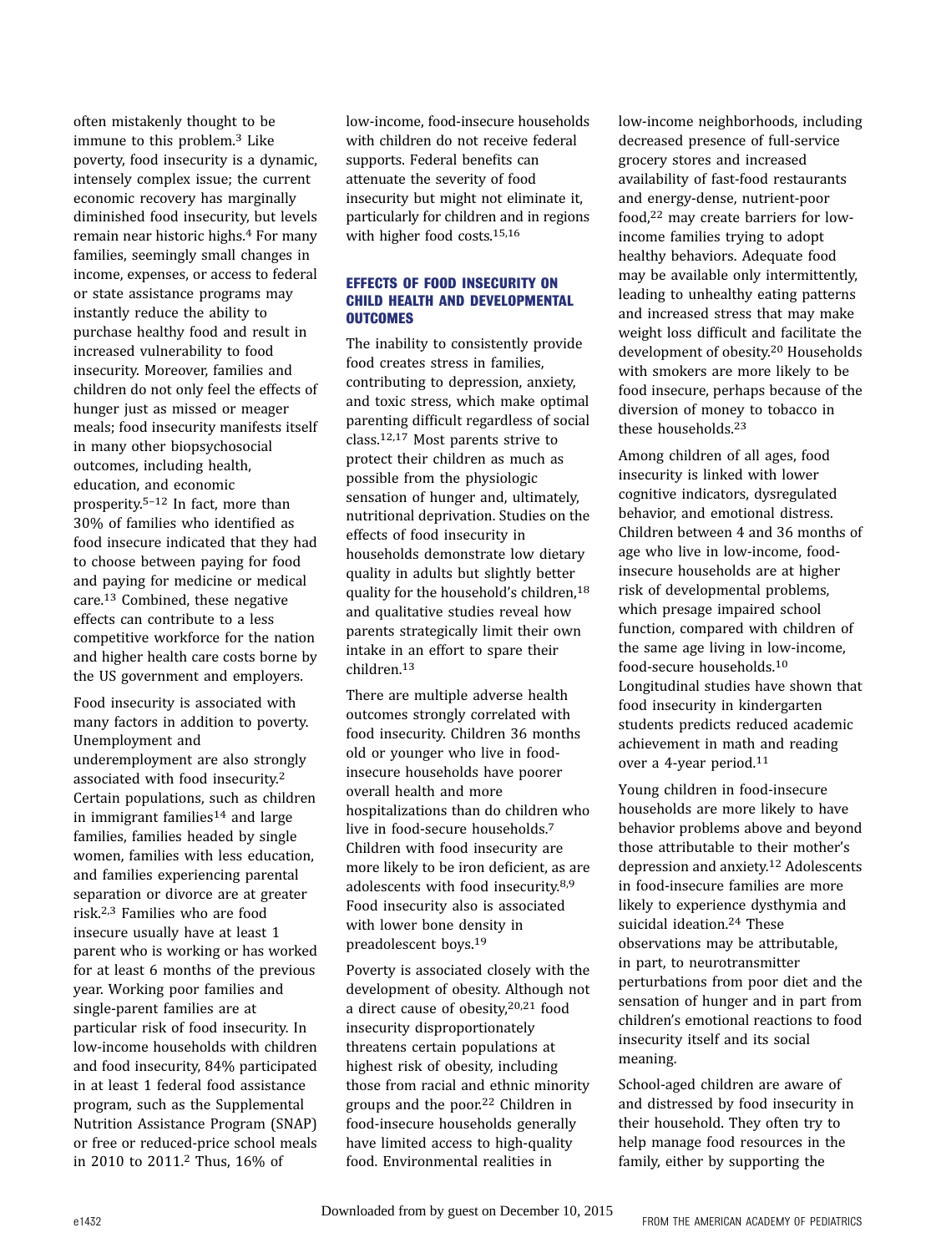often mistakenly thought to be immune to this problem.3 Like poverty, food insecurity is a dynamic, intensely complex issue; the current economic recovery has marginally diminished food insecurity, but levels remain near historic highs.4 For many families, seemingly small changes in income, expenses, or access to federal or state assistance programs may instantly reduce the ability to purchase healthy food and result in increased vulnerability to food insecurity. Moreover, families and children do not only feel the effects of hunger just as missed or meager meals; food insecurity manifests itself in many other biopsychosocial outcomes, including health, education, and economic prosperity.5–<sup>12</sup> In fact, more than 30% of families who identified as food insecure indicated that they had to choose between paying for food and paying for medicine or medical care.13 Combined, these negative effects can contribute to a less competitive workforce for the nation and higher health care costs borne by the US government and employers.

Food insecurity is associated with many factors in addition to poverty. Unemployment and underemployment are also strongly associated with food insecurity.2 Certain populations, such as children in immigrant families<sup>14</sup> and large families, families headed by single women, families with less education, and families experiencing parental separation or divorce are at greater risk.2,3 Families who are food insecure usually have at least 1 parent who is working or has worked for at least 6 months of the previous year. Working poor families and single-parent families are at particular risk of food insecurity. In low-income households with children and food insecurity, 84% participated in at least 1 federal food assistance program, such as the Supplemental Nutrition Assistance Program (SNAP) or free or reduced-price school meals in 2010 to 2011.2 Thus, 16% of

low-income, food-insecure households with children do not receive federal supports. Federal benefits can attenuate the severity of food insecurity but might not eliminate it, particularly for children and in regions with higher food costs.15,16

#### EFFECTS OF FOOD INSECURITY ON CHILD HEALTH AND DEVELOPMENTAL **OUTCOMES**

The inability to consistently provide food creates stress in families, contributing to depression, anxiety, and toxic stress, which make optimal parenting difficult regardless of social class.12,17 Most parents strive to protect their children as much as possible from the physiologic sensation of hunger and, ultimately, nutritional deprivation. Studies on the effects of food insecurity in households demonstrate low dietary quality in adults but slightly better quality for the household's children,<sup>18</sup> and qualitative studies reveal how parents strategically limit their own intake in an effort to spare their children.13

There are multiple adverse health outcomes strongly correlated with food insecurity. Children 36 months old or younger who live in foodinsecure households have poorer overall health and more hospitalizations than do children who live in food-secure households.7 Children with food insecurity are more likely to be iron deficient, as are adolescents with food insecurity.8,9 Food insecurity also is associated with lower bone density in preadolescent boys.19

Poverty is associated closely with the development of obesity. Although not a direct cause of obesity,20,21 food insecurity disproportionately threatens certain populations at highest risk of obesity, including those from racial and ethnic minority groups and the poor.22 Children in food-insecure households generally have limited access to high-quality food. Environmental realities in

low-income neighborhoods, including decreased presence of full-service grocery stores and increased availability of fast-food restaurants and energy-dense, nutrient-poor food,22 may create barriers for lowincome families trying to adopt healthy behaviors. Adequate food may be available only intermittently, leading to unhealthy eating patterns and increased stress that may make weight loss difficult and facilitate the development of obesity.20 Households with smokers are more likely to be food insecure, perhaps because of the diversion of money to tobacco in these households.23

Among children of all ages, food insecurity is linked with lower cognitive indicators, dysregulated behavior, and emotional distress. Children between 4 and 36 months of age who live in low-income, foodinsecure households are at higher risk of developmental problems, which presage impaired school function, compared with children of the same age living in low-income, food-secure households.10 Longitudinal studies have shown that food insecurity in kindergarten students predicts reduced academic achievement in math and reading over a 4-year period.11

Young children in food-insecure households are more likely to have behavior problems above and beyond those attributable to their mother's depression and anxiety.12 Adolescents in food-insecure families are more likely to experience dysthymia and suicidal ideation.24 These observations may be attributable, in part, to neurotransmitter perturbations from poor diet and the sensation of hunger and in part from children's emotional reactions to food insecurity itself and its social meaning.

School-aged children are aware of and distressed by food insecurity in their household. They often try to help manage food resources in the family, either by supporting the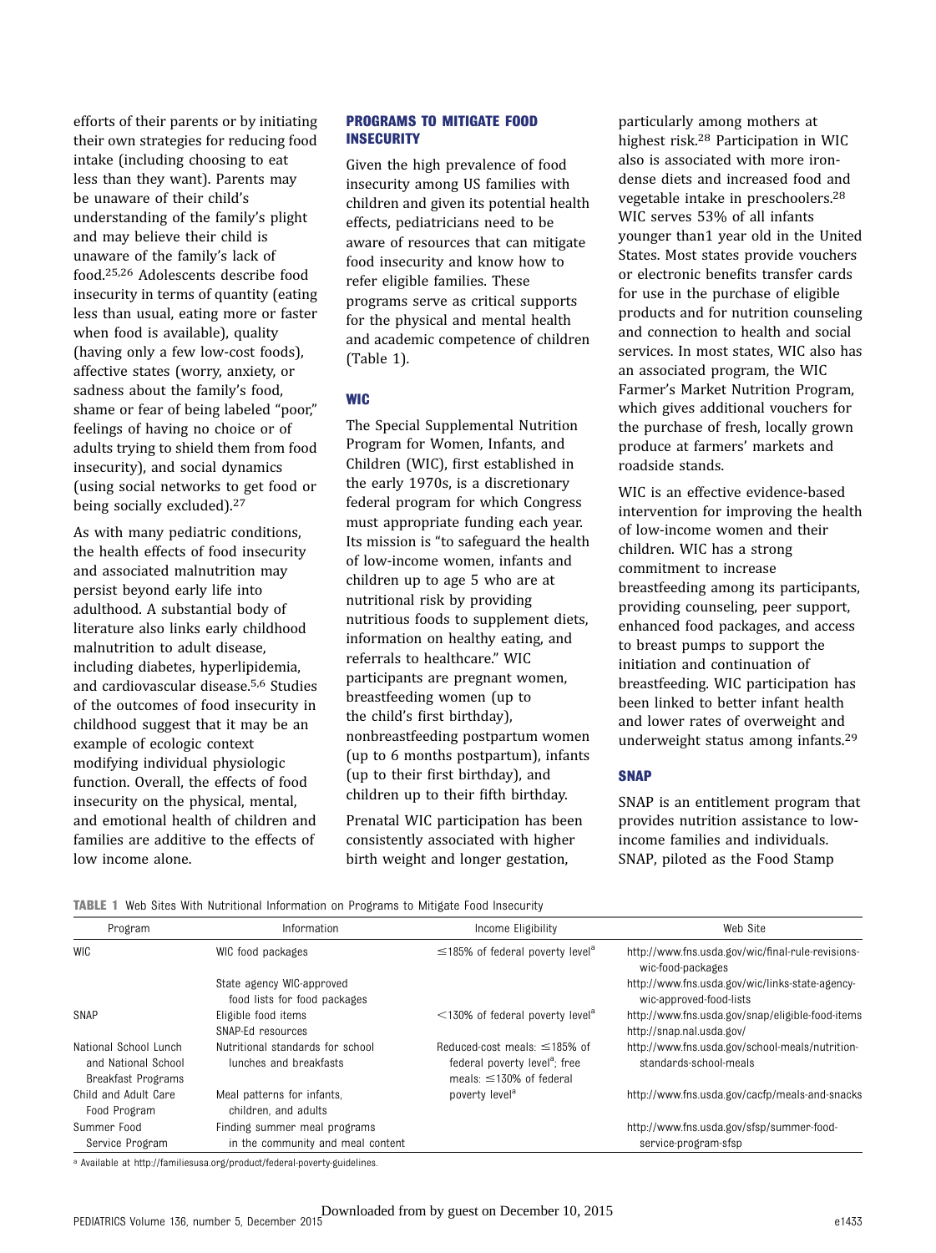efforts of their parents or by initiating their own strategies for reducing food intake (including choosing to eat less than they want). Parents may be unaware of their child's understanding of the family's plight and may believe their child is unaware of the family's lack of food.25,26 Adolescents describe food insecurity in terms of quantity (eating less than usual, eating more or faster when food is available), quality (having only a few low-cost foods), affective states (worry, anxiety, or sadness about the family's food, shame or fear of being labeled "poor," feelings of having no choice or of adults trying to shield them from food insecurity), and social dynamics (using social networks to get food or being socially excluded).27

As with many pediatric conditions, the health effects of food insecurity and associated malnutrition may persist beyond early life into adulthood. A substantial body of literature also links early childhood malnutrition to adult disease, including diabetes, hyperlipidemia, and cardiovascular disease.5,6 Studies of the outcomes of food insecurity in childhood suggest that it may be an example of ecologic context modifying individual physiologic function. Overall, the effects of food insecurity on the physical, mental, and emotional health of children and families are additive to the effects of low income alone.

#### PROGRAMS TO MITIGATE FOOD **INSECURITY**

Given the high prevalence of food insecurity among US families with children and given its potential health effects, pediatricians need to be aware of resources that can mitigate food insecurity and know how to refer eligible families. These programs serve as critical supports for the physical and mental health and academic competence of children (Table 1).

### **WIC**

The Special Supplemental Nutrition Program for Women, Infants, and Children (WIC), first established in the early 1970s, is a discretionary federal program for which Congress must appropriate funding each year. Its mission is "to safeguard the health of low-income women, infants and children up to age 5 who are at nutritional risk by providing nutritious foods to supplement diets, information on healthy eating, and referrals to healthcare." WIC participants are pregnant women, breastfeeding women (up to the child's first birthday), nonbreastfeeding postpartum women (up to 6 months postpartum), infants (up to their first birthday), and children up to their fifth birthday.

Prenatal WIC participation has been consistently associated with higher birth weight and longer gestation,

particularly among mothers at highest risk.28 Participation in WIC also is associated with more irondense diets and increased food and vegetable intake in preschoolers.28 WIC serves 53% of all infants younger than1 year old in the United States. Most states provide vouchers or electronic benefits transfer cards for use in the purchase of eligible products and for nutrition counseling and connection to health and social services. In most states, WIC also has an associated program, the WIC Farmer's Market Nutrition Program, which gives additional vouchers for the purchase of fresh, locally grown produce at farmers' markets and roadside stands.

WIC is an effective evidence-based intervention for improving the health of low-income women and their children. WIC has a strong commitment to increase breastfeeding among its participants, providing counseling, peer support, enhanced food packages, and access to breast pumps to support the initiation and continuation of breastfeeding. WIC participation has been linked to better infant health and lower rates of overweight and underweight status among infants.29

#### **SNAP**

SNAP is an entitlement program that provides nutrition assistance to lowincome families and individuals. SNAP, piloted as the Food Stamp

TABLE 1 Web Sites With Nutritional Information on Programs to Mitigate Food Insecurity

| Program                                                            | Information                                                       | Income Eligibility                                                                                               | Web Site                                                                      |
|--------------------------------------------------------------------|-------------------------------------------------------------------|------------------------------------------------------------------------------------------------------------------|-------------------------------------------------------------------------------|
| <b>WIC</b>                                                         | WIC food packages                                                 | $\leq$ 185% of federal poverty level <sup>a</sup>                                                                | http://www.fns.usda.gov/wic/final-rule-revisions-<br>wic-food-packages        |
|                                                                    | State agency WIC-approved<br>food lists for food packages         |                                                                                                                  | http://www.fns.usda.gov/wic/links-state-agency-<br>wic-approved-food-lists    |
| SNAP                                                               | Eligible food items<br>SNAP-Ed resources                          | $\leq$ 130% of federal poverty level <sup>a</sup>                                                                | http://www.fns.usda.gov/snap/eligible-food-items<br>http://snap.nal.usda.gov/ |
| National School Lunch<br>and National School<br>Breakfast Programs | Nutritional standards for school<br>lunches and breakfasts        | Reduced-cost meals: $\leq$ 185% of<br>federal poverty level <sup>a</sup> ; free<br>meals: $\leq$ 130% of federal | http://www.fns.usda.gov/school-meals/nutrition-<br>standards-school-meals     |
| Child and Adult Care<br>Food Program                               | Meal patterns for infants.<br>children, and adults                | poverty level <sup>a</sup>                                                                                       | http://www.fns.usda.gov/cacfp/meals-and-snacks                                |
| Summer Food<br>Service Program                                     | Finding summer meal programs<br>in the community and meal content |                                                                                                                  | http://www.fns.usda.gov/sfsp/summer-food-<br>service-program-sfsp             |

a Available at [http://familiesusa.org/product/federal-poverty-guidelines.](http://familiesusa.org/product/federal-poverty-guidelines)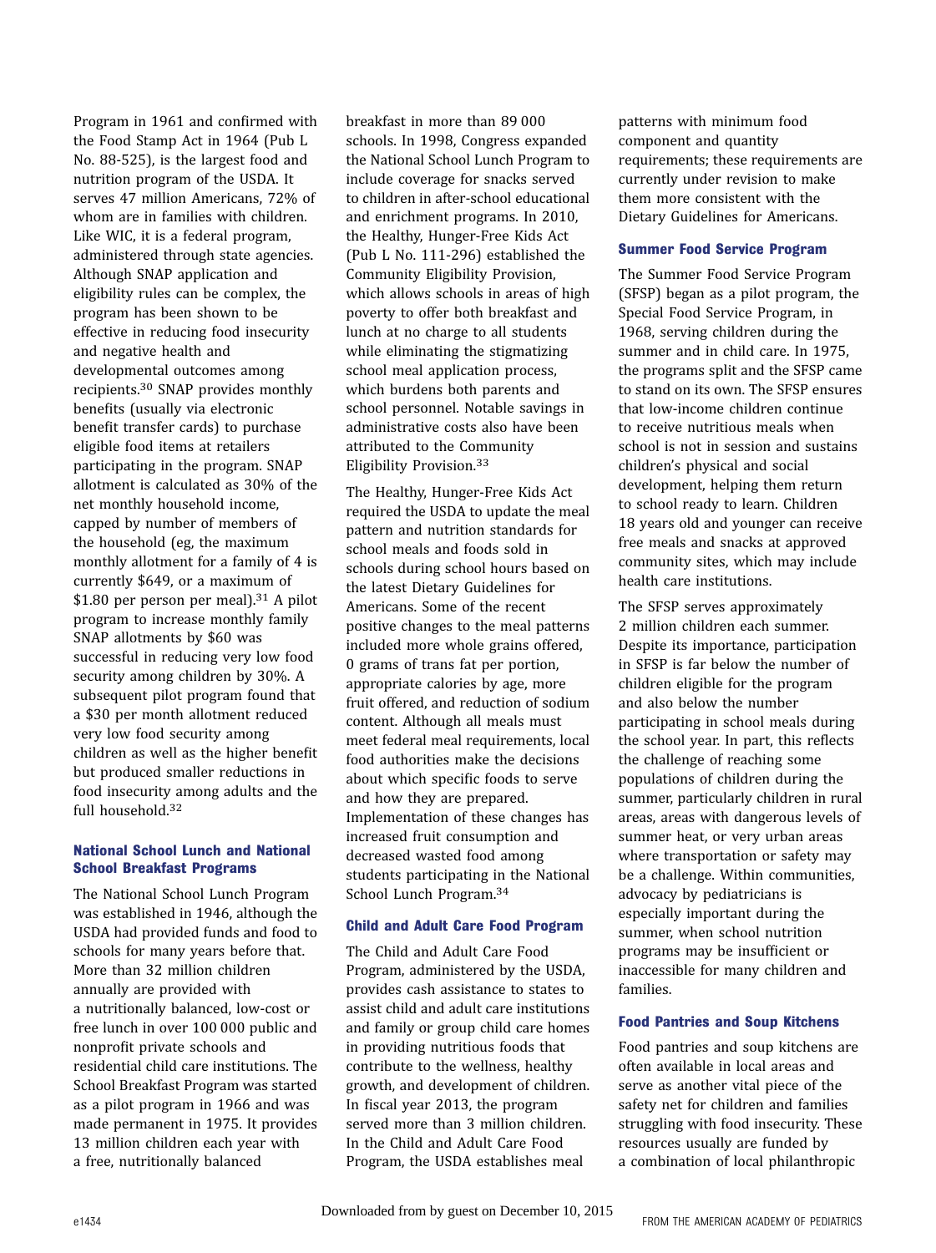Program in 1961 and confirmed with the Food Stamp Act in 1964 (Pub L No. 88-525), is the largest food and nutrition program of the USDA. It serves 47 million Americans, 72% of whom are in families with children. Like WIC, it is a federal program, administered through state agencies. Although SNAP application and eligibility rules can be complex, the program has been shown to be effective in reducing food insecurity and negative health and developmental outcomes among recipients.30 SNAP provides monthly benefits (usually via electronic benefit transfer cards) to purchase eligible food items at retailers participating in the program. SNAP allotment is calculated as 30% of the net monthly household income, capped by number of members of the household (eg, the maximum monthly allotment for a family of 4 is currently \$649, or a maximum of  $$1.80$  per person per meal).<sup>31</sup> A pilot program to increase monthly family SNAP allotments by \$60 was successful in reducing very low food security among children by 30%. A subsequent pilot program found that a \$30 per month allotment reduced very low food security among children as well as the higher benefit but produced smaller reductions in food insecurity among adults and the full household.32

#### National School Lunch and National School Breakfast Programs

The National School Lunch Program was established in 1946, although the USDA had provided funds and food to schools for many years before that. More than 32 million children annually are provided with a nutritionally balanced, low-cost or free lunch in over 100 000 public and nonprofit private schools and residential child care institutions. The School Breakfast Program was started as a pilot program in 1966 and was made permanent in 1975. It provides 13 million children each year with a free, nutritionally balanced

breakfast in more than 89 000 schools. In 1998, Congress expanded the National School Lunch Program to include coverage for snacks served to children in after-school educational and enrichment programs. In 2010, the Healthy, Hunger-Free Kids Act (Pub L No. 111-296) established the Community Eligibility Provision, which allows schools in areas of high poverty to offer both breakfast and lunch at no charge to all students while eliminating the stigmatizing school meal application process, which burdens both parents and school personnel. Notable savings in administrative costs also have been attributed to the Community Eligibility Provision.33

The Healthy, Hunger-Free Kids Act required the USDA to update the meal pattern and nutrition standards for school meals and foods sold in schools during school hours based on the latest Dietary Guidelines for Americans. Some of the recent positive changes to the meal patterns included more whole grains offered, 0 grams of trans fat per portion, appropriate calories by age, more fruit offered, and reduction of sodium content. Although all meals must meet federal meal requirements, local food authorities make the decisions about which specific foods to serve and how they are prepared. Implementation of these changes has increased fruit consumption and decreased wasted food among students participating in the National School Lunch Program.34

#### Child and Adult Care Food Program

The Child and Adult Care Food Program, administered by the USDA, provides cash assistance to states to assist child and adult care institutions and family or group child care homes in providing nutritious foods that contribute to the wellness, healthy growth, and development of children. In fiscal year 2013, the program served more than 3 million children. In the Child and Adult Care Food Program, the USDA establishes meal

patterns with minimum food component and quantity requirements; these requirements are currently under revision to make them more consistent with the Dietary Guidelines for Americans.

#### Summer Food Service Program

The Summer Food Service Program (SFSP) began as a pilot program, the Special Food Service Program, in 1968, serving children during the summer and in child care. In 1975, the programs split and the SFSP came to stand on its own. The SFSP ensures that low-income children continue to receive nutritious meals when school is not in session and sustains children's physical and social development, helping them return to school ready to learn. Children 18 years old and younger can receive free meals and snacks at approved community sites, which may include health care institutions.

The SFSP serves approximately 2 million children each summer. Despite its importance, participation in SFSP is far below the number of children eligible for the program and also below the number participating in school meals during the school year. In part, this reflects the challenge of reaching some populations of children during the summer, particularly children in rural areas, areas with dangerous levels of summer heat, or very urban areas where transportation or safety may be a challenge. Within communities, advocacy by pediatricians is especially important during the summer, when school nutrition programs may be insufficient or inaccessible for many children and families.

#### Food Pantries and Soup Kitchens

Food pantries and soup kitchens are often available in local areas and serve as another vital piece of the safety net for children and families struggling with food insecurity. These resources usually are funded by a combination of local philanthropic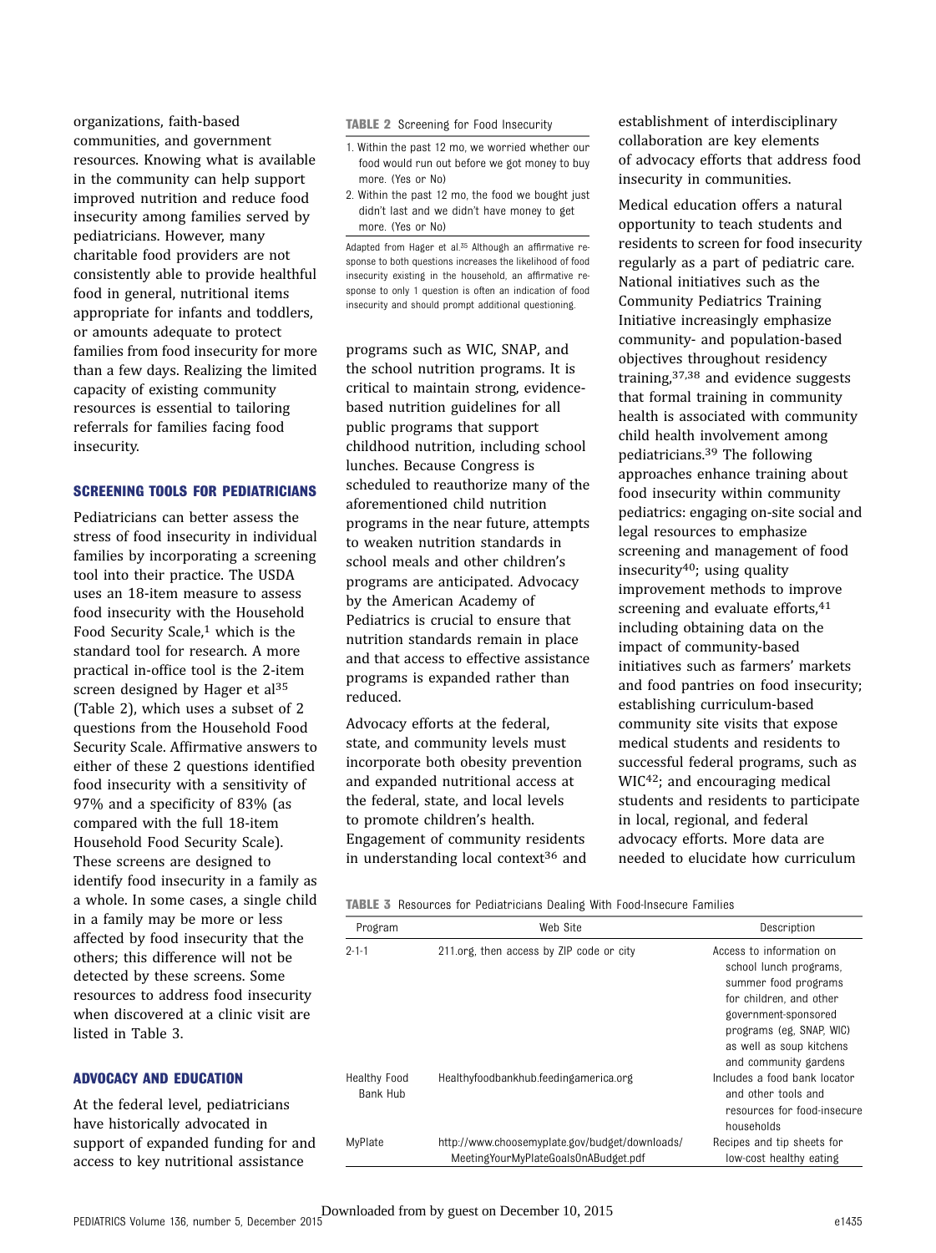organizations, faith-based communities, and government resources. Knowing what is available in the community can help support improved nutrition and reduce food insecurity among families served by pediatricians. However, many charitable food providers are not consistently able to provide healthful food in general, nutritional items appropriate for infants and toddlers, or amounts adequate to protect families from food insecurity for more than a few days. Realizing the limited capacity of existing community resources is essential to tailoring referrals for families facing food insecurity.

#### SCREENING TOOLS FOR PEDIATRICIANS

Pediatricians can better assess the stress of food insecurity in individual families by incorporating a screening tool into their practice. The USDA uses an 18-item measure to assess food insecurity with the Household Food Security Scale,<sup>1</sup> which is the standard tool for research. A more practical in-office tool is the 2-item screen designed by Hager et al<sup>35</sup> (Table 2), which uses a subset of 2 questions from the Household Food Security Scale. Affirmative answers to either of these 2 questions identified food insecurity with a sensitivity of 97% and a specificity of 83% (as compared with the full 18-item Household Food Security Scale). These screens are designed to identify food insecurity in a family as a whole. In some cases, a single child in a family may be more or less affected by food insecurity that the others; this difference will not be detected by these screens. Some resources to address food insecurity when discovered at a clinic visit are listed in Table 3.

#### ADVOCACY AND EDUCATION

At the federal level, pediatricians have historically advocated in support of expanded funding for and access to key nutritional assistance

TABLE 2 Screening for Food Insecurity

- 1. Within the past 12 mo, we worried whether our food would run out before we got money to buy more. (Yes or No)
- 2. Within the past 12 mo, the food we bought just didn't last and we didn't have money to get more. (Yes or No)

Adapted from Hager et al.35 Although an affirmative response to both questions increases the likelihood of food insecurity existing in the household, an affirmative response to only 1 question is often an indication of food insecurity and should prompt additional questioning.

programs such as WIC, SNAP, and the school nutrition programs. It is critical to maintain strong, evidencebased nutrition guidelines for all public programs that support childhood nutrition, including school lunches. Because Congress is scheduled to reauthorize many of the aforementioned child nutrition programs in the near future, attempts to weaken nutrition standards in school meals and other children's programs are anticipated. Advocacy by the American Academy of Pediatrics is crucial to ensure that nutrition standards remain in place and that access to effective assistance programs is expanded rather than reduced.

Advocacy efforts at the federal, state, and community levels must incorporate both obesity prevention and expanded nutritional access at the federal, state, and local levels to promote children's health. Engagement of community residents in understanding local context<sup>36</sup> and establishment of interdisciplinary collaboration are key elements of advocacy efforts that address food insecurity in communities.

Medical education offers a natural opportunity to teach students and residents to screen for food insecurity regularly as a part of pediatric care. National initiatives such as the Community Pediatrics Training Initiative increasingly emphasize community- and population-based objectives throughout residency training,37,38 and evidence suggests that formal training in community health is associated with community child health involvement among pediatricians.39 The following approaches enhance training about food insecurity within community pediatrics: engaging on-site social and legal resources to emphasize screening and management of food insecurity<sup>40</sup>; using quality improvement methods to improve screening and evaluate efforts, 41 including obtaining data on the impact of community-based initiatives such as farmers' markets and food pantries on food insecurity; establishing curriculum-based community site visits that expose medical students and residents to successful federal programs, such as WIC42; and encouraging medical students and residents to participate in local, regional, and federal advocacy efforts. More data are needed to elucidate how curriculum

TABLE 3 Resources for Pediatricians Dealing With Food-Insecure Families

| Program                                | Web Site                                                                               | Description                                                                                                                                                                                                    |
|----------------------------------------|----------------------------------------------------------------------------------------|----------------------------------------------------------------------------------------------------------------------------------------------------------------------------------------------------------------|
| $2 - 1 - 1$                            | 211.org, then access by ZIP code or city                                               | Access to information on<br>school lunch programs.<br>summer food programs<br>for children, and other<br>government-sponsored<br>programs (eg. SNAP, WIC)<br>as well as soup kitchens<br>and community gardens |
| <b>Healthy Food</b><br><b>Bank Hub</b> | Healthyfoodbankhub.feedingamerica.org                                                  | Includes a food bank locator<br>and other tools and<br>resources for food-insecure<br>households                                                                                                               |
| MyPlate                                | http://www.choosemyplate.gov/budget/downloads/<br>MeetingYourMyPlateGoalsOnABudget.pdf | Recipes and tip sheets for<br>low-cost healthy eating                                                                                                                                                          |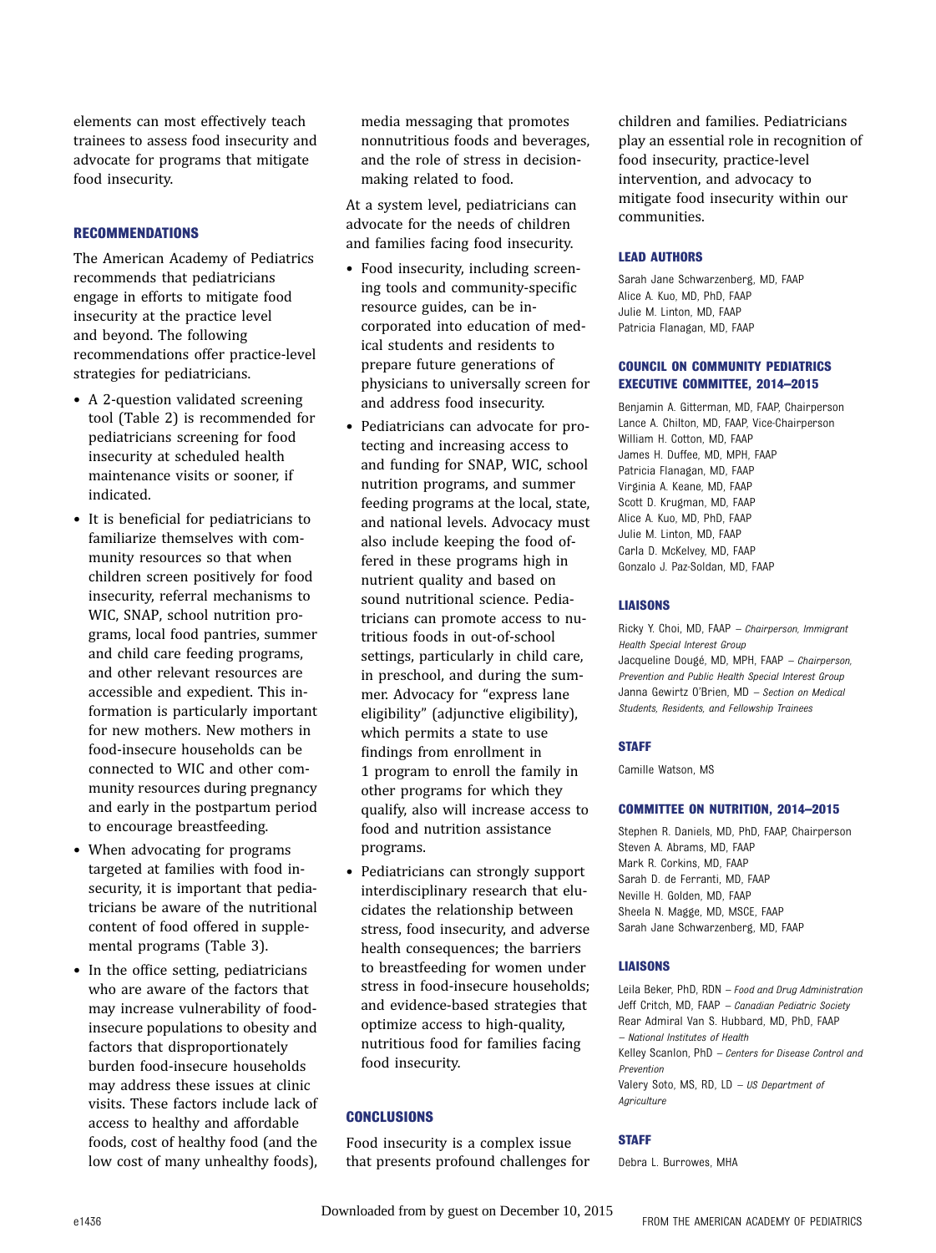elements can most effectively teach trainees to assess food insecurity and advocate for programs that mitigate food insecurity.

#### RECOMMENDATIONS

The American Academy of Pediatrics recommends that pediatricians engage in efforts to mitigate food insecurity at the practice level and beyond. The following recommendations offer practice-level strategies for pediatricians.

- A 2-question validated screening tool (Table 2) is recommended for pediatricians screening for food insecurity at scheduled health maintenance visits or sooner, if indicated.
- It is beneficial for pediatricians to familiarize themselves with community resources so that when children screen positively for food insecurity, referral mechanisms to WIC, SNAP, school nutrition programs, local food pantries, summer and child care feeding programs, and other relevant resources are accessible and expedient. This information is particularly important for new mothers. New mothers in food-insecure households can be connected to WIC and other community resources during pregnancy and early in the postpartum period to encourage breastfeeding.
- When advocating for programs targeted at families with food insecurity, it is important that pediatricians be aware of the nutritional content of food offered in supplemental programs (Table 3).
- In the office setting, pediatricians who are aware of the factors that may increase vulnerability of foodinsecure populations to obesity and factors that disproportionately burden food-insecure households may address these issues at clinic visits. These factors include lack of access to healthy and affordable foods, cost of healthy food (and the low cost of many unhealthy foods),

media messaging that promotes nonnutritious foods and beverages, and the role of stress in decisionmaking related to food.

At a system level, pediatricians can advocate for the needs of children and families facing food insecurity.

- Food insecurity, including screening tools and community-specific resource guides, can be incorporated into education of medical students and residents to prepare future generations of physicians to universally screen for and address food insecurity.
- Pediatricians can advocate for protecting and increasing access to and funding for SNAP, WIC, school nutrition programs, and summer feeding programs at the local, state, and national levels. Advocacy must also include keeping the food offered in these programs high in nutrient quality and based on sound nutritional science. Pediatricians can promote access to nutritious foods in out-of-school settings, particularly in child care, in preschool, and during the summer. Advocacy for "express lane eligibility" (adjunctive eligibility), which permits a state to use findings from enrollment in 1 program to enroll the family in other programs for which they qualify, also will increase access to food and nutrition assistance programs.
- Pediatricians can strongly support interdisciplinary research that elucidates the relationship between stress, food insecurity, and adverse health consequences; the barriers to breastfeeding for women under stress in food-insecure households; and evidence-based strategies that optimize access to high-quality, nutritious food for families facing food insecurity.

#### **CONCLUSIONS**

Food insecurity is a complex issue that presents profound challenges for children and families. Pediatricians play an essential role in recognition of food insecurity, practice-level intervention, and advocacy to mitigate food insecurity within our communities.

#### LEAD AUTHORS

Sarah Jane Schwarzenberg, MD, FAAP Alice A. Kuo, MD, PhD, FAAP Julie M. Linton, MD, FAAP Patricia Flanagan, MD, FAAP

#### COUNCIL ON COMMUNITY PEDIATRICS EXECUTIVE COMMITTEE, 2014–2015

Benjamin A. Gitterman, MD, FAAP, Chairperson Lance A. Chilton, MD, FAAP, Vice-Chairperson William H. Cotton, MD, FAAP James H. Duffee, MD, MPH, FAAP Patricia Flanagan, MD, FAAP Virginia A. Keane, MD, FAAP Scott D. Krugman, MD, FAAP Alice A. Kuo, MD, PhD, FAAP Julie M. Linton, MD, FAAP Carla D. McKelvey, MD, FAAP Gonzalo J. Paz-Soldan, MD, FAAP

#### LIAISONS

Ricky Y. Choi, MD, FAAP – Chairperson, Immigrant Health Special Interest Group Jacqueline Dougé, MD, MPH, FAAP – Chairperson, Prevention and Public Health Special Interest Group Janna Gewirtz O'Brien, MD – Section on Medical Students, Residents, and Fellowship Trainees

#### **STAFF**

Camille Watson, MS

#### COMMITTEE ON NUTRITION, 2014–2015

Stephen R. Daniels, MD, PhD, FAAP, Chairperson Steven A. Abrams, MD, FAAP Mark R. Corkins, MD, FAAP Sarah D. de Ferranti, MD, FAAP Neville H. Golden, MD, FAAP Sheela N. Magge, MD, MSCE, FAAP Sarah Jane Schwarzenberg, MD, FAAP

#### LIAISONS

Leila Beker, PhD, RDN – Food and Drug Administration Jeff Critch, MD, FAAP – Canadian Pediatric Society Rear Admiral Van S. Hubbard, MD, PhD, FAAP – National Institutes of Health Kelley Scanlon, PhD – Centers for Disease Control and Prevention Valery Soto, MS, RD,  $LD - US Department of$ Agriculture

#### STAFF

Debra L. Burrowes, MHA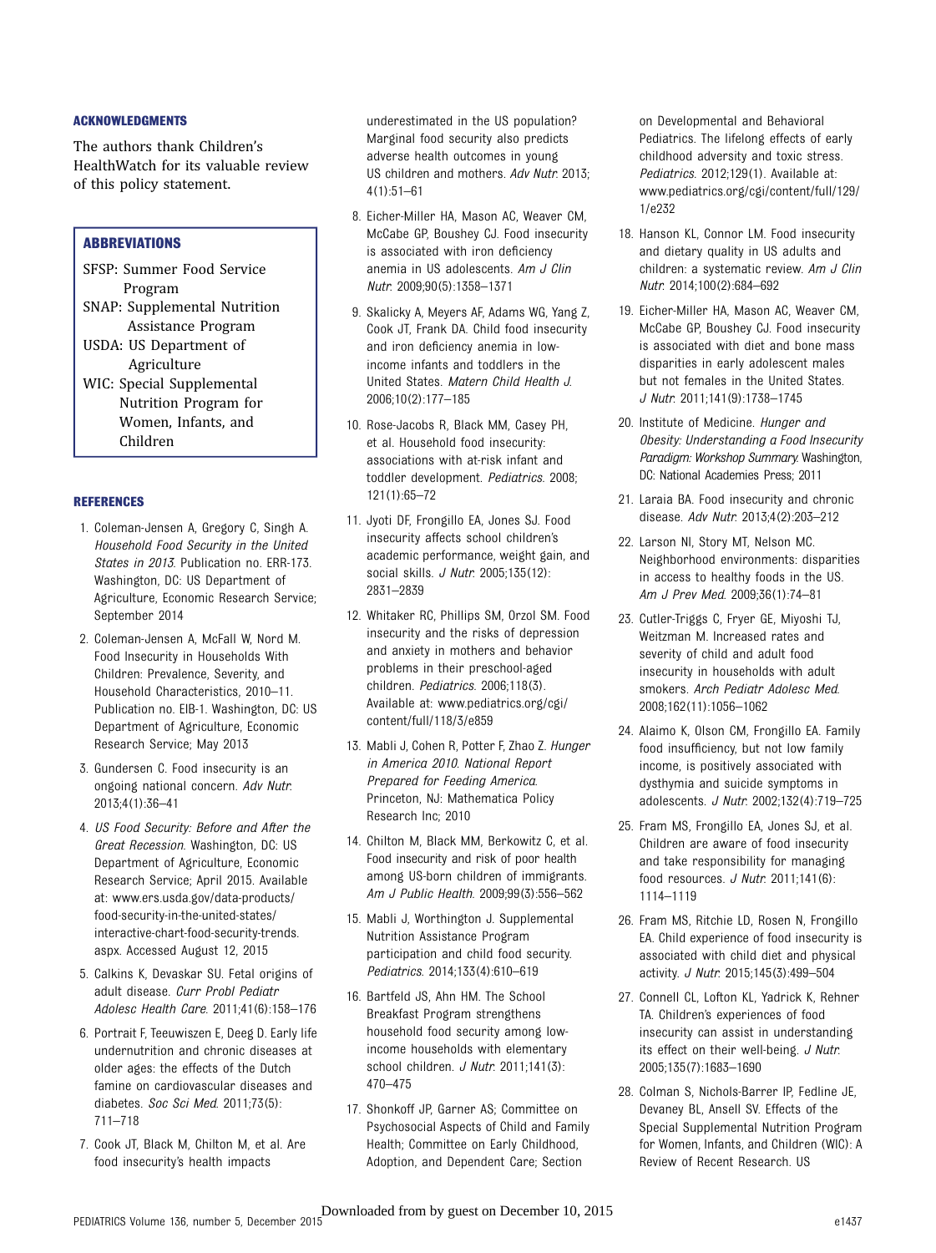#### ACKNOWLEDGMENTS

The authors thank Children's HealthWatch for its valuable review of this policy statement.

#### **ABBREVIATIONS**

- SFSP: Summer Food Service Program
- SNAP: Supplemental Nutrition Assistance Program
- USDA: US Department of Agriculture
- WIC: Special Supplemental Nutrition Program for Women, Infants, and Children

#### REFERENCES

- 1. Coleman-Jensen A, Gregory C, Singh A. Household Food Security in the United States in 2013. Publication no. ERR-173. Washington, DC: US Department of Agriculture, Economic Research Service; September 2014
- 2. Coleman-Jensen A, McFall W, Nord M. Food Insecurity in Households With Children: Prevalence, Severity, and Household Characteristics, 2010–11. Publication no. EIB-1. Washington, DC: US Department of Agriculture, Economic Research Service; May 2013
- 3. Gundersen C. Food insecurity is an ongoing national concern. Adv Nutr. 2013;4(1):36–41
- 4. US Food Security: Before and After the Great Recession. Washington, DC: US Department of Agriculture, Economic Research Service; April 2015. Available at: [www.ers.usda.gov/data-products/](http://www.ers.usda.gov/data-products/food-security-in-the-united-states/interactive-chart-food-security-trends.aspx) [food-security-in-the-united-states/](http://www.ers.usda.gov/data-products/food-security-in-the-united-states/interactive-chart-food-security-trends.aspx) [interactive-chart-food-security-trends.](http://www.ers.usda.gov/data-products/food-security-in-the-united-states/interactive-chart-food-security-trends.aspx) [aspx.](http://www.ers.usda.gov/data-products/food-security-in-the-united-states/interactive-chart-food-security-trends.aspx) Accessed August 12, 2015
- 5. Calkins K, Devaskar SU. Fetal origins of adult disease. Curr Probl Pediatr Adolesc Health Care. 2011;41(6):158–176
- 6. Portrait F, Teeuwiszen E, Deeg D. Early life undernutrition and chronic diseases at older ages: the effects of the Dutch famine on cardiovascular diseases and diabetes. Soc Sci Med. 2011;73(5): 711–718
- 7. Cook JT, Black M, Chilton M, et al. Are food insecurity's health impacts

underestimated in the US population? Marginal food security also predicts adverse health outcomes in young US children and mothers. Adv Nutr. 2013;  $4(1):51–61$ 

- 8. Eicher-Miller HA, Mason AC, Weaver CM, McCabe GP, Boushey CJ. Food insecurity is associated with iron deficiency anemia in US adolescents. Am J Clin Nutr. 2009;90(5):1358–1371
- 9. Skalicky A, Meyers AF, Adams WG, Yang Z, Cook JT, Frank DA. Child food insecurity and iron deficiency anemia in lowincome infants and toddlers in the United States. Matern Child Health J. 2006;10(2):177–185
- 10. Rose-Jacobs R, Black MM, Casey PH, et al. Household food insecurity: associations with at-risk infant and toddler development. Pediatrics. 2008; 121(1):65–72
- 11. Jyoti DF, Frongillo EA, Jones SJ. Food insecurity affects school children's academic performance, weight gain, and social skills. *J Nutr.* 2005:135(12): 2831–2839
- 12. Whitaker RC, Phillips SM, Orzol SM. Food insecurity and the risks of depression and anxiety in mothers and behavior problems in their preschool-aged children. Pediatrics. 2006;118(3). Available at: [www.pediatrics.org/cgi/](http://www.pediatrics.org/cgi/content/full/118/3/e859) [content/full/118/3/e859](http://www.pediatrics.org/cgi/content/full/118/3/e859)
- 13. Mabli J, Cohen R, Potter F, Zhao Z. Hunger in America 2010. National Report Prepared for Feeding America. Princeton, NJ: Mathematica Policy Research Inc; 2010
- 14. Chilton M, Black MM, Berkowitz C, et al. Food insecurity and risk of poor health among US-born children of immigrants. Am J Public Health. 2009;99(3):556–562
- 15. Mabli J, Worthington J. Supplemental Nutrition Assistance Program participation and child food security. Pediatrics. 2014;133(4):610–619
- 16. Bartfeld JS, Ahn HM. The School Breakfast Program strengthens household food security among lowincome households with elementary school children. J Nutr. 2011;141(3): 470–475
- 17. Shonkoff JP, Garner AS; Committee on Psychosocial Aspects of Child and Family Health; Committee on Early Childhood, Adoption, and Dependent Care; Section

on Developmental and Behavioral Pediatrics. The lifelong effects of early childhood adversity and toxic stress. Pediatrics. 2012;129(1). Available at: [www.pediatrics.org/cgi/content/full/129/](http://www.pediatrics.org/cgi/content/full/129/1/e232) [1/e232](http://www.pediatrics.org/cgi/content/full/129/1/e232)

- 18. Hanson KL, Connor LM. Food insecurity and dietary quality in US adults and children: a systematic review. Am J Clin Nutr. 2014;100(2):684–692
- 19. Eicher-Miller HA, Mason AC, Weaver CM, McCabe GP, Boushey CJ. Food insecurity is associated with diet and bone mass disparities in early adolescent males but not females in the United States. J Nutr. 2011;141(9):1738–1745
- 20. Institute of Medicine. Hunger and Obesity: Understanding a Food Insecurity Paradigm: Workshop Summary. Washington, DC: National Academies Press; 2011
- 21. Laraia BA. Food insecurity and chronic disease. Adv Nutr. 2013;4(2):203–212
- 22. Larson NI, Story MT, Nelson MC. Neighborhood environments: disparities in access to healthy foods in the US. Am J Prev Med. 2009;36(1):74–81
- 23. Cutler-Triggs C, Fryer GE, Miyoshi TJ, Weitzman M. Increased rates and severity of child and adult food insecurity in households with adult smokers. Arch Pediatr Adolesc Med. 2008;162(11):1056–1062
- 24. Alaimo K, Olson CM, Frongillo EA. Family food insufficiency, but not low family income, is positively associated with dysthymia and suicide symptoms in adolescents. J Nutr. 2002;132(4):719–725
- 25. Fram MS, Frongillo EA, Jones SJ, et al. Children are aware of food insecurity and take responsibility for managing food resources. J Nutr. 2011;141(6): 1114–1119
- 26. Fram MS, Ritchie LD, Rosen N, Frongillo EA. Child experience of food insecurity is associated with child diet and physical activity. J Nutr. 2015;145(3):499–504
- 27. Connell CL, Lofton KL, Yadrick K, Rehner TA. Children's experiences of food insecurity can assist in understanding its effect on their well-being. J Nutr. 2005;135(7):1683–1690
- 28. Colman S, Nichols-Barrer IP, Fedline JE, Devaney BL, Ansell SV. Effects of the Special Supplemental Nutrition Program for Women, Infants, and Children (WIC): A Review of Recent Research. US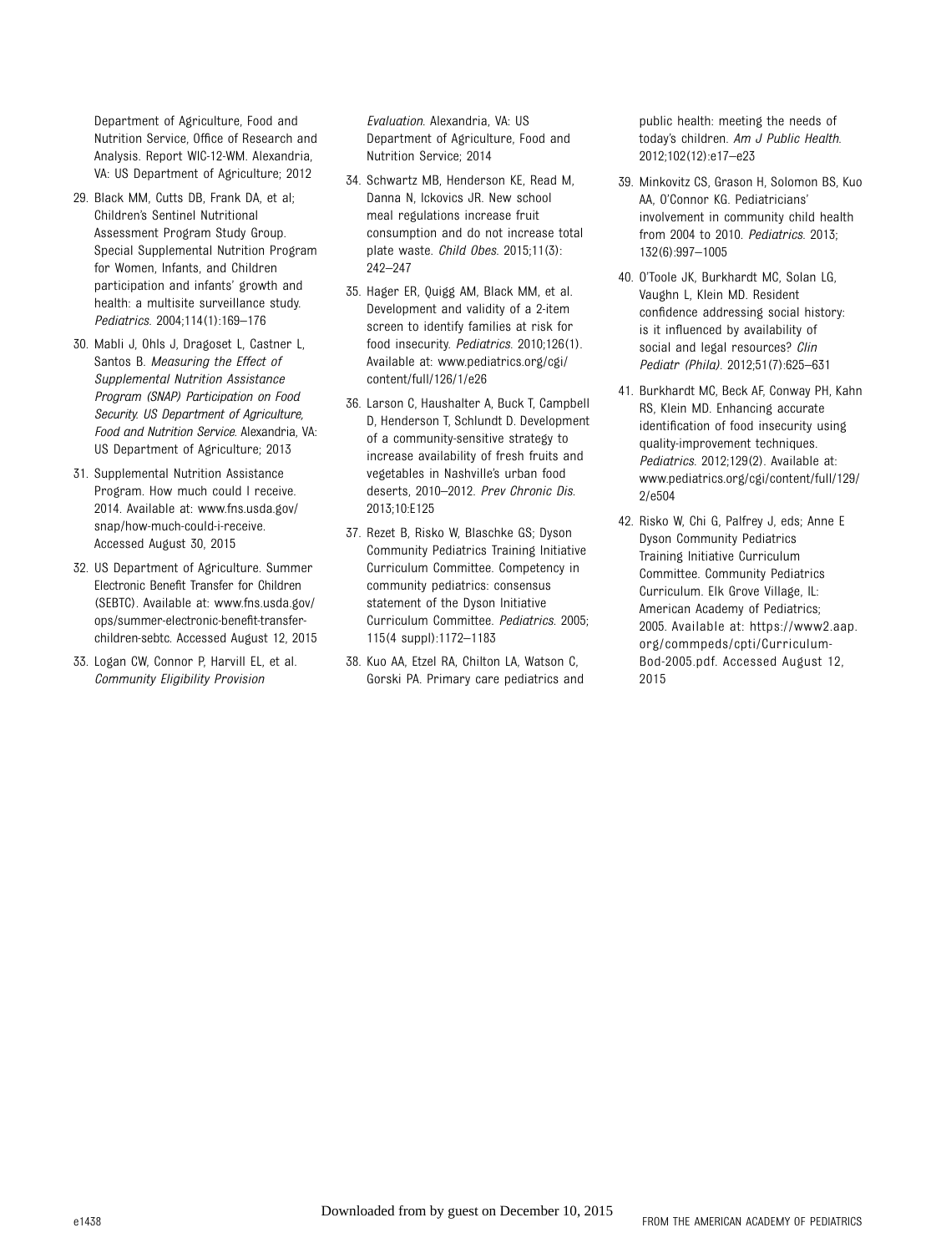Department of Agriculture, Food and Nutrition Service, Office of Research and Analysis. Report WIC-12-WM. Alexandria, VA: US Department of Agriculture; 2012

- 29. Black MM, Cutts DB, Frank DA, et al; Children's Sentinel Nutritional Assessment Program Study Group. Special Supplemental Nutrition Program for Women, Infants, and Children participation and infants' growth and health: a multisite surveillance study. Pediatrics. 2004;114(1):169–176
- 30. Mabli J, Ohls J, Dragoset L, Castner L, Santos B. Measuring the Effect of Supplemental Nutrition Assistance Program (SNAP) Participation on Food Security. US Department of Agriculture, Food and Nutrition Service. Alexandria, VA: US Department of Agriculture; 2013
- 31. Supplemental Nutrition Assistance Program. How much could I receive. 2014. Available at: [www.fns.usda.gov/](http://www.fns.usda.gov/snap/how-much-could-i-receive) [snap/how-much-could-i-receive](http://www.fns.usda.gov/snap/how-much-could-i-receive). Accessed August 30, 2015
- 32. US Department of Agriculture. Summer Electronic Benefit Transfer for Children (SEBTC). Available at: [www.fns.usda.gov/](http://www.fns.usda.gov/ops/summer-electronic-benefit-transfer-children-sebtc) [ops/summer-electronic-bene](http://www.fns.usda.gov/ops/summer-electronic-benefit-transfer-children-sebtc)fit-transfer[children-sebtc.](http://www.fns.usda.gov/ops/summer-electronic-benefit-transfer-children-sebtc) Accessed August 12, 2015
- 33. Logan CW, Connor P, Harvill EL, et al. Community Eligibility Provision

Evaluation. Alexandria, VA: US Department of Agriculture, Food and Nutrition Service; 2014

- 34. Schwartz MB, Henderson KE, Read M, Danna N, Ickovics JR. New school meal regulations increase fruit consumption and do not increase total plate waste. Child Obes. 2015;11(3): 242–247
- 35. Hager ER, Quigg AM, Black MM, et al. Development and validity of a 2-item screen to identify families at risk for food insecurity. Pediatrics. 2010;126(1). Available at: [www.pediatrics.org/cgi/](http://www.pediatrics.org/cgi/content/full/126/1/e26) [content/full/126/1/e26](http://www.pediatrics.org/cgi/content/full/126/1/e26)
- 36. Larson C, Haushalter A, Buck T, Campbell D, Henderson T, Schlundt D. Development of a community-sensitive strategy to increase availability of fresh fruits and vegetables in Nashville's urban food deserts, 2010–2012. Prev Chronic Dis. 2013;10:E125
- 37. Rezet B, Risko W, Blaschke GS; Dyson Community Pediatrics Training Initiative Curriculum Committee. Competency in community pediatrics: consensus statement of the Dyson Initiative Curriculum Committee. Pediatrics. 2005; 115(4 suppl):1172–1183
- 38. Kuo AA, Etzel RA, Chilton LA, Watson C, Gorski PA. Primary care pediatrics and

public health: meeting the needs of today's children. Am J Public Health. 2012;102(12):e17–e23

- 39. Minkovitz CS, Grason H, Solomon BS, Kuo AA, O'Connor KG. Pediatricians' involvement in community child health from 2004 to 2010. Pediatrics. 2013; 132(6):997–1005
- 40. O'Toole JK, Burkhardt MC, Solan LG, Vaughn L, Klein MD. Resident confidence addressing social history: is it influenced by availability of social and legal resources? Clin Pediatr (Phila). 2012;51(7):625–631
- 41. Burkhardt MC, Beck AF, Conway PH, Kahn RS, Klein MD. Enhancing accurate identification of food insecurity using quality-improvement techniques. Pediatrics. 2012;129(2). Available at: [www.pediatrics.org/cgi/content/full/129/](http://www.pediatrics.org/cgi/content/full/129/2/e504) [2/e504](http://www.pediatrics.org/cgi/content/full/129/2/e504)
- 42. Risko W, Chi G, Palfrey J, eds; Anne E Dyson Community Pediatrics Training Initiative Curriculum Committee. Community Pediatrics Curriculum. Elk Grove Village, IL: American Academy of Pediatrics; 2005. Available at: [https://www2.aap.](https://www2.aap.org/commpeds/cpti/Curriculum-Bod-2005.pdf) [org/commpeds/cpti/Curriculum-](https://www2.aap.org/commpeds/cpti/Curriculum-Bod-2005.pdf)[Bod-2005.pdf.](https://www2.aap.org/commpeds/cpti/Curriculum-Bod-2005.pdf) Accessed August 12, 2015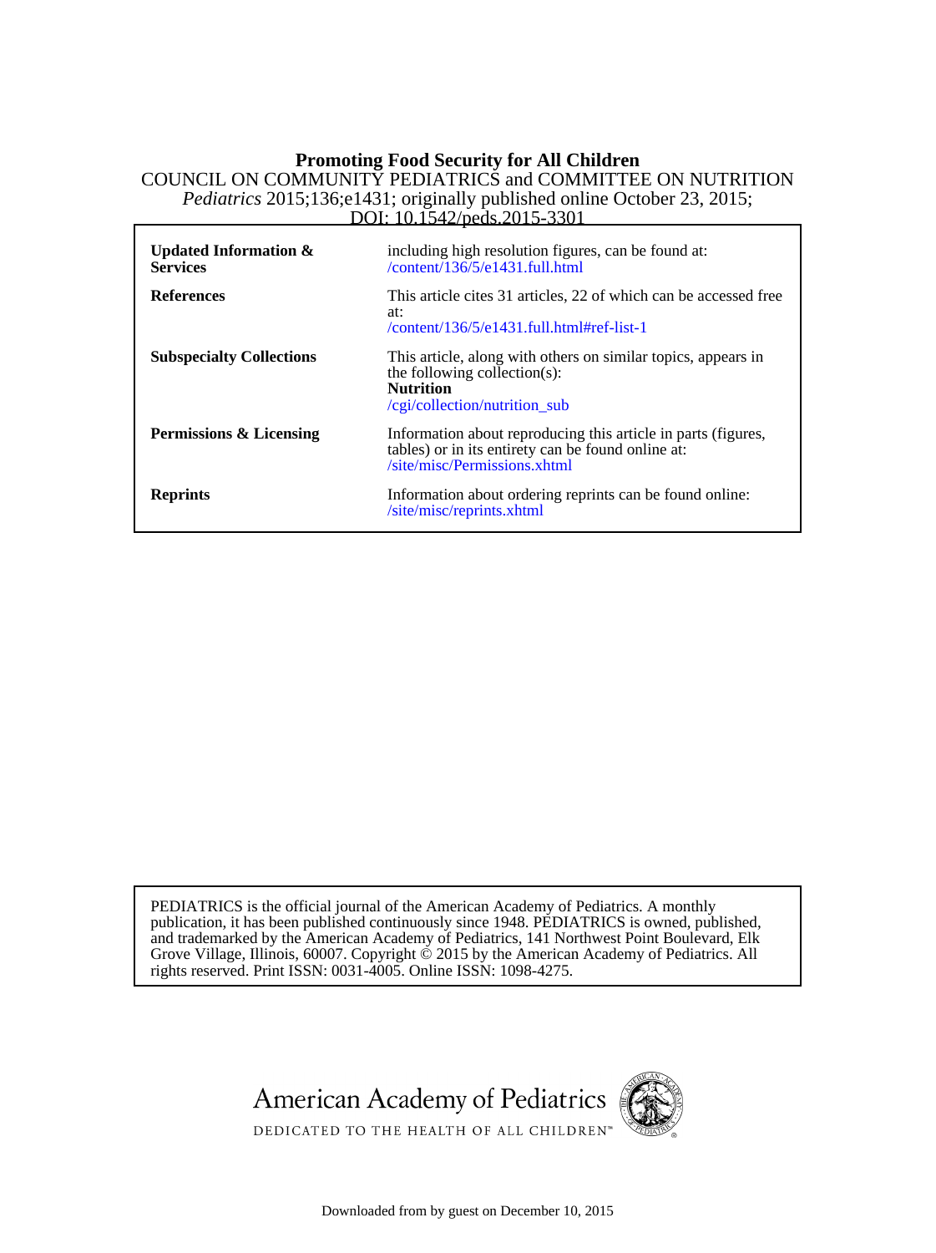### DOI: 10.1542/peds.2015-3301 *Pediatrics* 2015;136;e1431; originally published online October 23, 2015; COUNCIL ON COMMUNITY PEDIATRICS and COMMITTEE ON NUTRITION **Promoting Food Security for All Children**

| Updated Information $\&$<br><b>Services</b> | including high resolution figures, can be found at:<br>$/$ content $\overline{136/5/}$ e $1431$ .full.html                                          |
|---------------------------------------------|-----------------------------------------------------------------------------------------------------------------------------------------------------|
| <b>References</b>                           | This article cites 31 articles, 22 of which can be accessed free<br>at:<br>$\/$ content $/136/5/$ e $1431$ .full.html#ref-list-1                    |
| <b>Subspecialty Collections</b>             | This article, along with others on similar topics, appears in<br>the following collection(s):<br><b>Nutrition</b><br>/cgi/collection/nutrition_sub  |
| <b>Permissions &amp; Licensing</b>          | Information about reproducing this article in parts (figures,<br>tables) or in its entirety can be found online at:<br>/site/misc/Permissions.xhtml |
| <b>Reprints</b>                             | Information about ordering reprints can be found online:<br>/site/misc/reprints.xhtml                                                               |

rights reserved. Print ISSN: 0031-4005. Online ISSN: 1098-4275. Grove Village, Illinois, 60007. Copyright © 2015 by the American Academy of Pediatrics. All and trademarked by the American Academy of Pediatrics, 141 Northwest Point Boulevard, Elk publication, it has been published continuously since 1948. PEDIATRICS is owned, published, PEDIATRICS is the official journal of the American Academy of Pediatrics. A monthly





DEDICATED TO THE HEALTH OF ALL CHILDREN<sup>™</sup>